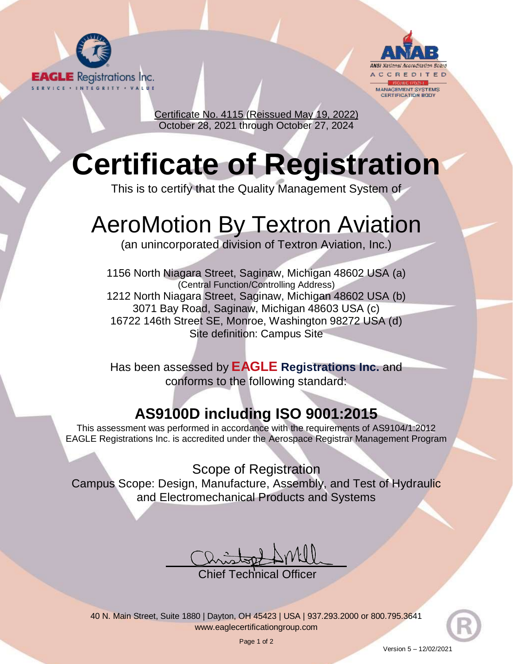



Certificate No. 4115 (Reissued May 19, 2022) October 28, 2021 through October 27, 2024

## **Certificate of Registration**

This is to certify that the Quality Management System of

## AeroMotion By Textron Aviation

(an unincorporated division of Textron Aviation, Inc.)

1156 North Niagara Street, Saginaw, Michigan 48602 USA (a) (Central Function/Controlling Address) 1212 North Niagara Street, Saginaw, Michigan 48602 USA (b) 3071 Bay Road, Saginaw, Michigan 48603 USA (c) 16722 146th Street SE, Monroe, Washington 98272 USA (d) Site definition: Campus Site

Has been assessed by **EAGLE Registrations Inc.** and conforms to the following standard:

## **AS9100D including ISO 9001:2015**

This assessment was performed in accordance with the requirements of AS9104/1:2012 EAGLE Registrations Inc. is accredited under the Aerospace Registrar Management Program

Scope of Registration Campus Scope: Design, Manufacture, Assembly, and Test of Hydraulic and Electromechanical Products and Systems

hief Technical Officer.

40 N. Main Street, Suite 1880 | Dayton, OH 45423 | USA | 937.293.2000 or 800.795.3641 [www.eaglecertificationgroup.com](http://www.eaglecertificationgroup.com/)

Page 1 of 2

Version 5 – 12/02/2021